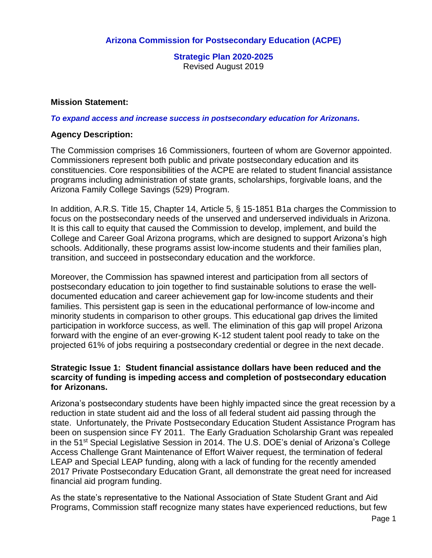**Strategic Plan 2020-2025** Revised August 2019

### **Mission Statement:**

#### *To expand access and increase success in postsecondary education for Arizonans.*

#### **Agency Description:**

The Commission comprises 16 Commissioners, fourteen of whom are Governor appointed. Commissioners represent both public and private postsecondary education and its constituencies. Core responsibilities of the ACPE are related to student financial assistance programs including administration of state grants, scholarships, forgivable loans, and the Arizona Family College Savings (529) Program.

In addition, A.R.S. Title 15, Chapter 14, Article 5, § 15-1851 B1a charges the Commission to focus on the postsecondary needs of the unserved and underserved individuals in Arizona. It is this call to equity that caused the Commission to develop, implement, and build the College and Career Goal Arizona programs, which are designed to support Arizona's high schools. Additionally, these programs assist low-income students and their families plan, transition, and succeed in postsecondary education and the workforce.

Moreover, the Commission has spawned interest and participation from all sectors of postsecondary education to join together to find sustainable solutions to erase the welldocumented education and career achievement gap for low-income students and their families. This persistent gap is seen in the educational performance of low-income and minority students in comparison to other groups. This educational gap drives the limited participation in workforce success, as well. The elimination of this gap will propel Arizona forward with the engine of an ever-growing K-12 student talent pool ready to take on the projected 61% of jobs requiring a postsecondary credential or degree in the next decade.

### **Strategic Issue 1: Student financial assistance dollars have been reduced and the scarcity of funding is impeding access and completion of postsecondary education for Arizonans.**

Arizona's postsecondary students have been highly impacted since the great recession by a reduction in state student aid and the loss of all federal student aid passing through the state. Unfortunately, the Private Postsecondary Education Student Assistance Program has been on suspension since FY 2011. The Early Graduation Scholarship Grant was repealed in the 51st Special Legislative Session in 2014. The U.S. DOE's denial of Arizona's College Access Challenge Grant Maintenance of Effort Waiver request, the termination of federal LEAP and Special LEAP funding, along with a lack of funding for the recently amended 2017 Private Postsecondary Education Grant, all demonstrate the great need for increased financial aid program funding.

As the state's representative to the National Association of State Student Grant and Aid Programs, Commission staff recognize many states have experienced reductions, but few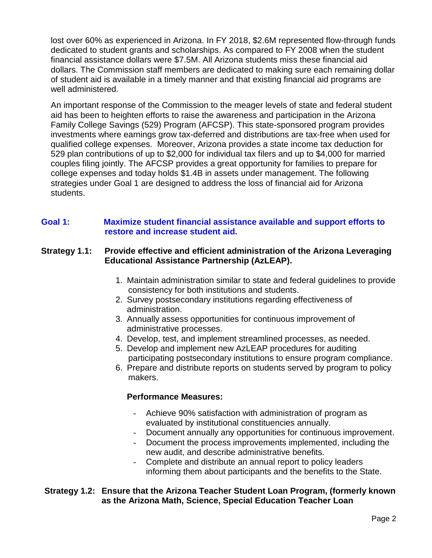lost over 60% as experienced in Arizona. In FY 2018, \$2.6M represented flow-through funds dedicated to student grants and scholarships. As compared to FY 2008 when the student financial assistance dollars were \$7.5M. All Arizona students miss these financial aid dollars. The Commission staff members are dedicated to making sure each remaining dollar of student aid is available in a timely manner and that existing financial aid programs are well administered.

An important response of the Commission to the meager levels of state and federal student aid has been to heighten efforts to raise the awareness and participation in the Arizona Family College Savings (529) Program (AFCSP). This state-sponsored program provides investments where earnings grow tax-deferred and distributions are tax-free when used for qualified college expenses. Moreover, Arizona provides a state income tax deduction for 529 plan contributions of up to \$2,000 for individual tax filers and up to \$4,000 for married couples filing jointly. The AFCSP provides a great opportunity for families to prepare for college expenses and today holds \$1.4B in assets under management. The following strategies under Goal 1 are designed to address the loss of financial aid for Arizona students.

### **Goal 1: Maximize student financial assistance available and support efforts to restore and increase student aid.**

### **Strategy 1.1: Provide effective and efficient administration of the Arizona Leveraging Educational Assistance Partnership (AzLEAP).**

- 1. Maintain administration similar to state and federal guidelines to provide consistency for both institutions and students.
- 2. Survey postsecondary institutions regarding effectiveness of administration.
- 3. Annually assess opportunities for continuous improvement of administrative processes.
- 4. Develop, test, and implement streamlined processes, as needed.
- 5. Develop and implement new AzLEAP procedures for auditing participating postsecondary institutions to ensure program compliance.
- 6. Prepare and distribute reports on students served by program to policy makers.

### **Performance Measures:**

- Achieve 90% satisfaction with administration of program as evaluated by institutional constituencies annually.
- Document annually any opportunities for continuous improvement.
- Document the process improvements implemented, including the new audit, and describe administrative benefits.
- Complete and distribute an annual report to policy leaders informing them about participants and the benefits to the State.

### **Strategy 1.2: Ensure that the Arizona Teacher Student Loan Program, (formerly known as the Arizona Math, Science, Special Education Teacher Loan**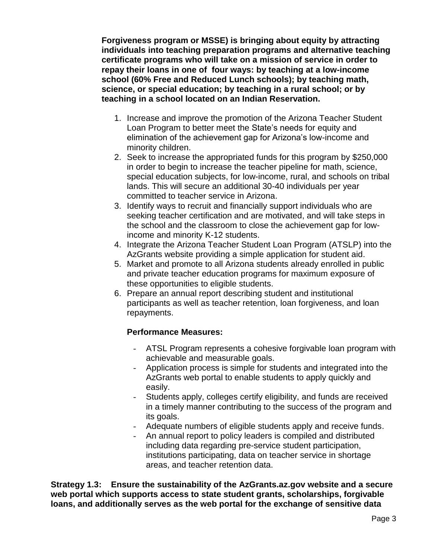**Forgiveness program or MSSE) is bringing about equity by attracting individuals into teaching preparation programs and alternative teaching certificate programs who will take on a mission of service in order to repay their loans in one of four ways: by teaching at a low-income school (60% Free and Reduced Lunch schools); by teaching math, science, or special education; by teaching in a rural school; or by teaching in a school located on an Indian Reservation.**

- 1. Increase and improve the promotion of the Arizona Teacher Student Loan Program to better meet the State's needs for equity and elimination of the achievement gap for Arizona's low-income and minority children.
- 2. Seek to increase the appropriated funds for this program by \$250,000 in order to begin to increase the teacher pipeline for math, science, special education subjects, for low-income, rural, and schools on tribal lands. This will secure an additional 30-40 individuals per year committed to teacher service in Arizona.
- 3. Identify ways to recruit and financially support individuals who are seeking teacher certification and are motivated, and will take steps in the school and the classroom to close the achievement gap for lowincome and minority K-12 students.
- 4. Integrate the Arizona Teacher Student Loan Program (ATSLP) into the AzGrants website providing a simple application for student aid.
- 5. Market and promote to all Arizona students already enrolled in public and private teacher education programs for maximum exposure of these opportunities to eligible students.
- 6. Prepare an annual report describing student and institutional participants as well as teacher retention, loan forgiveness, and loan repayments.

# **Performance Measures:**

- ATSL Program represents a cohesive forgivable loan program with achievable and measurable goals.
- Application process is simple for students and integrated into the AzGrants web portal to enable students to apply quickly and easily.
- Students apply, colleges certify eligibility, and funds are received in a timely manner contributing to the success of the program and its goals.
- Adequate numbers of eligible students apply and receive funds.
- An annual report to policy leaders is compiled and distributed including data regarding pre-service student participation, institutions participating, data on teacher service in shortage areas, and teacher retention data.

**Strategy 1.3: Ensure the sustainability of the AzGrants.az.gov website and a secure web portal which supports access to state student grants, scholarships, forgivable loans, and additionally serves as the web portal for the exchange of sensitive data**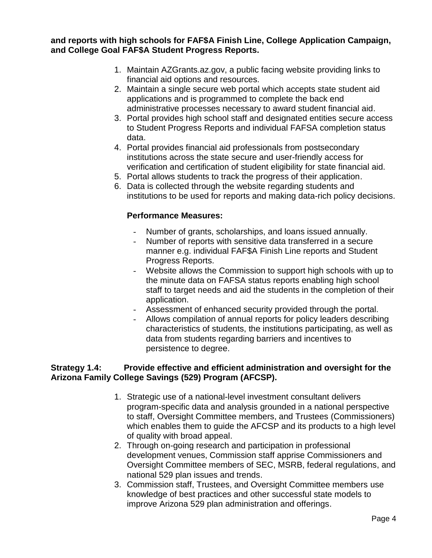**and reports with high schools for FAF\$A Finish Line, College Application Campaign, and College Goal FAF\$A Student Progress Reports.**

- 1. Maintain AZGrants.az.gov, a public facing website providing links to financial aid options and resources.
- 2. Maintain a single secure web portal which accepts state student aid applications and is programmed to complete the back end administrative processes necessary to award student financial aid.
- 3. Portal provides high school staff and designated entities secure access to Student Progress Reports and individual FAFSA completion status data.
- 4. Portal provides financial aid professionals from postsecondary institutions across the state secure and user-friendly access for verification and certification of student eligibility for state financial aid.
- 5. Portal allows students to track the progress of their application.
- 6. Data is collected through the website regarding students and institutions to be used for reports and making data-rich policy decisions.

## **Performance Measures:**

- Number of grants, scholarships, and loans issued annually.
- Number of reports with sensitive data transferred in a secure manner e.g. individual FAF\$A Finish Line reports and Student Progress Reports.
- Website allows the Commission to support high schools with up to the minute data on FAFSA status reports enabling high school staff to target needs and aid the students in the completion of their application.
- Assessment of enhanced security provided through the portal.
- Allows compilation of annual reports for policy leaders describing characteristics of students, the institutions participating, as well as data from students regarding barriers and incentives to persistence to degree.

### **Strategy 1.4: Provide effective and efficient administration and oversight for the Arizona Family College Savings (529) Program (AFCSP).**

- 1. Strategic use of a national-level investment consultant delivers program-specific data and analysis grounded in a national perspective to staff, Oversight Committee members, and Trustees (Commissioners) which enables them to guide the AFCSP and its products to a high level of quality with broad appeal.
- 2. Through on-going research and participation in professional development venues, Commission staff apprise Commissioners and Oversight Committee members of SEC, MSRB, federal regulations, and national 529 plan issues and trends.
- 3. Commission staff, Trustees, and Oversight Committee members use knowledge of best practices and other successful state models to improve Arizona 529 plan administration and offerings.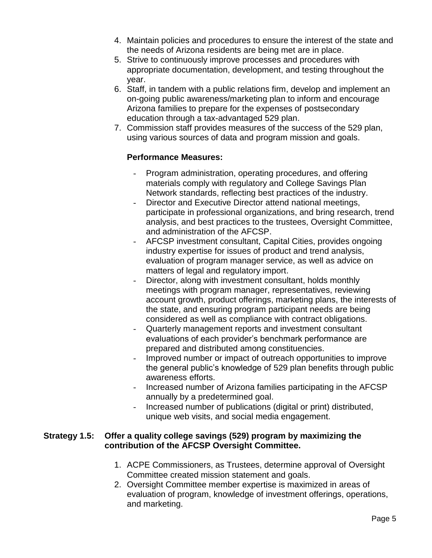- 4. Maintain policies and procedures to ensure the interest of the state and the needs of Arizona residents are being met are in place.
- 5. Strive to continuously improve processes and procedures with appropriate documentation, development, and testing throughout the year.
- 6. Staff, in tandem with a public relations firm, develop and implement an on-going public awareness/marketing plan to inform and encourage Arizona families to prepare for the expenses of postsecondary education through a tax-advantaged 529 plan.
- 7. Commission staff provides measures of the success of the 529 plan, using various sources of data and program mission and goals.

- Program administration, operating procedures, and offering materials comply with regulatory and College Savings Plan Network standards, reflecting best practices of the industry.
- Director and Executive Director attend national meetings, participate in professional organizations, and bring research, trend analysis, and best practices to the trustees, Oversight Committee, and administration of the AFCSP.
- AFCSP investment consultant, Capital Cities, provides ongoing industry expertise for issues of product and trend analysis, evaluation of program manager service, as well as advice on matters of legal and regulatory import.
- Director, along with investment consultant, holds monthly meetings with program manager, representatives, reviewing account growth, product offerings, marketing plans, the interests of the state, and ensuring program participant needs are being considered as well as compliance with contract obligations.
- Quarterly management reports and investment consultant evaluations of each provider's benchmark performance are prepared and distributed among constituencies.
- Improved number or impact of outreach opportunities to improve the general public's knowledge of 529 plan benefits through public awareness efforts.
- Increased number of Arizona families participating in the AFCSP annually by a predetermined goal.
- Increased number of publications (digital or print) distributed, unique web visits, and social media engagement.

### **Strategy 1.5: Offer a quality college savings (529) program by maximizing the contribution of the AFCSP Oversight Committee.**

- 1. ACPE Commissioners, as Trustees, determine approval of Oversight Committee created mission statement and goals.
- 2. Oversight Committee member expertise is maximized in areas of evaluation of program, knowledge of investment offerings, operations, and marketing.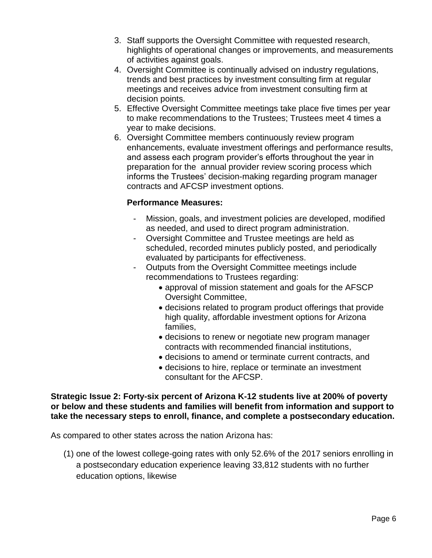- 3. Staff supports the Oversight Committee with requested research, highlights of operational changes or improvements, and measurements of activities against goals.
- 4. Oversight Committee is continually advised on industry regulations, trends and best practices by investment consulting firm at regular meetings and receives advice from investment consulting firm at decision points.
- 5. Effective Oversight Committee meetings take place five times per year to make recommendations to the Trustees; Trustees meet 4 times a year to make decisions.
- 6. Oversight Committee members continuously review program enhancements, evaluate investment offerings and performance results, and assess each program provider's efforts throughout the year in preparation for the annual provider review scoring process which informs the Trustees' decision-making regarding program manager contracts and AFCSP investment options.

- Mission, goals, and investment policies are developed, modified as needed, and used to direct program administration.
- Oversight Committee and Trustee meetings are held as scheduled, recorded minutes publicly posted, and periodically evaluated by participants for effectiveness.
- Outputs from the Oversight Committee meetings include recommendations to Trustees regarding:
	- approval of mission statement and goals for the AFSCP Oversight Committee,
	- decisions related to program product offerings that provide high quality, affordable investment options for Arizona families,
	- decisions to renew or negotiate new program manager contracts with recommended financial institutions,
	- decisions to amend or terminate current contracts, and
	- decisions to hire, replace or terminate an investment consultant for the AFCSP.

**Strategic Issue 2: Forty-six percent of Arizona K-12 students live at 200% of poverty or below and these students and families will benefit from information and support to take the necessary steps to enroll, finance, and complete a postsecondary education.**

As compared to other states across the nation Arizona has:

(1) one of the lowest college-going rates with only 52.6% of the 2017 seniors enrolling in a postsecondary education experience leaving 33,812 students with no further education options, likewise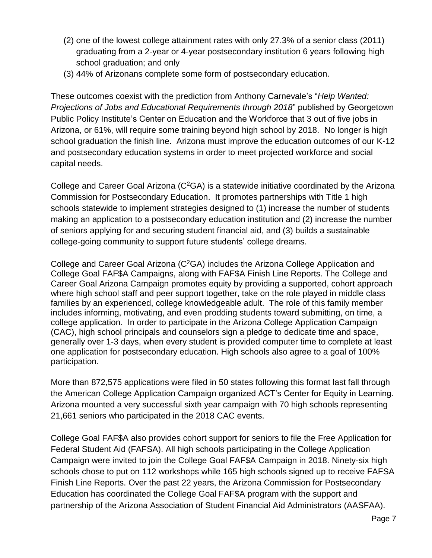- (2) one of the lowest college attainment rates with only 27.3% of a senior class (2011) graduating from a 2-year or 4-year postsecondary institution 6 years following high school graduation; and only
- (3) 44% of Arizonans complete some form of postsecondary education.

These outcomes coexist with the prediction from Anthony Carnevale's "*Help Wanted: Projections of Jobs and Educational Requirements through 2018*" published by Georgetown Public Policy Institute's Center on Education and the Workforce that 3 out of five jobs in Arizona, or 61%, will require some training beyond high school by 2018. No longer is high school graduation the finish line. Arizona must improve the education outcomes of our K-12 and postsecondary education systems in order to meet projected workforce and social capital needs.

College and Career Goal Arizona  $(C^2GA)$  is a statewide initiative coordinated by the Arizona Commission for Postsecondary Education. It promotes partnerships with Title 1 high schools statewide to implement strategies designed to (1) increase the number of students making an application to a postsecondary education institution and (2) increase the number of seniors applying for and securing student financial aid, and (3) builds a sustainable college-going community to support future students' college dreams.

College and Career Goal Arizona (C<sup>2</sup>GA) includes the Arizona College Application and College Goal FAF\$A Campaigns, along with FAF\$A Finish Line Reports. The College and Career Goal Arizona Campaign promotes equity by providing a supported, cohort approach where high school staff and peer support together, take on the role played in middle class families by an experienced, college knowledgeable adult. The role of this family member includes informing, motivating, and even prodding students toward submitting, on time, a college application. In order to participate in the Arizona College Application Campaign (CAC), high school principals and counselors sign a pledge to dedicate time and space, generally over 1-3 days, when every student is provided computer time to complete at least one application for postsecondary education. High schools also agree to a goal of 100% participation.

More than 872,575 applications were filed in 50 states following this format last fall through the American College Application Campaign organized ACT's Center for Equity in Learning. Arizona mounted a very successful sixth year campaign with 70 high schools representing 21,661 seniors who participated in the 2018 CAC events.

College Goal FAF\$A also provides cohort support for seniors to file the Free Application for Federal Student Aid (FAFSA). All high schools participating in the College Application Campaign were invited to join the College Goal FAF\$A Campaign in 2018. Ninety-six high schools chose to put on 112 workshops while 165 high schools signed up to receive FAFSA Finish Line Reports. Over the past 22 years, the Arizona Commission for Postsecondary Education has coordinated the College Goal FAF\$A program with the support and partnership of the Arizona Association of Student Financial Aid Administrators (AASFAA).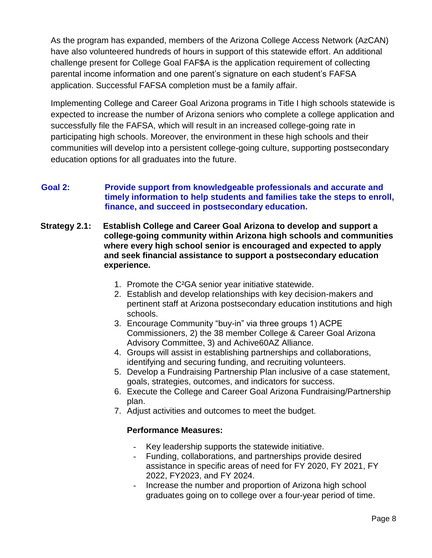As the program has expanded, members of the Arizona College Access Network (AzCAN) have also volunteered hundreds of hours in support of this statewide effort. An additional challenge present for College Goal FAF\$A is the application requirement of collecting parental income information and one parent's signature on each student's FAFSA application. Successful FAFSA completion must be a family affair.

Implementing College and Career Goal Arizona programs in Title I high schools statewide is expected to increase the number of Arizona seniors who complete a college application and successfully file the FAFSA, which will result in an increased college-going rate in participating high schools. Moreover, the environment in these high schools and their communities will develop into a persistent college-going culture, supporting postsecondary education options for all graduates into the future.

## **Goal 2: Provide support from knowledgeable professionals and accurate and timely information to help students and families take the steps to enroll, finance, and succeed in postsecondary education.**

- **Strategy 2.1: Establish College and Career Goal Arizona to develop and support a college-going community within Arizona high schools and communities where every high school senior is encouraged and expected to apply and seek financial assistance to support a postsecondary education experience.**
	- 1. Promote the C²GA senior year initiative statewide.
	- 2. Establish and develop relationships with key decision-makers and pertinent staff at Arizona postsecondary education institutions and high schools.
	- 3. Encourage Community "buy-in" via three groups 1) ACPE Commissioners, 2) the 38 member College & Career Goal Arizona Advisory Committee, 3) and Achive60AZ Alliance.
	- 4. Groups will assist in establishing partnerships and collaborations, identifying and securing funding, and recruiting volunteers.
	- 5. Develop a Fundraising Partnership Plan inclusive of a case statement, goals, strategies, outcomes, and indicators for success.
	- 6. Execute the College and Career Goal Arizona Fundraising/Partnership plan.
	- 7. Adjust activities and outcomes to meet the budget.

- Key leadership supports the statewide initiative.
- Funding, collaborations, and partnerships provide desired assistance in specific areas of need for FY 2020, FY 2021, FY 2022, FY2023, and FY 2024.
- Increase the number and proportion of Arizona high school graduates going on to college over a four-year period of time.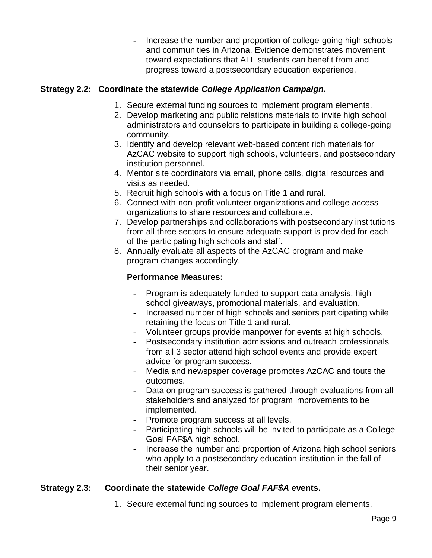- Increase the number and proportion of college-going high schools and communities in Arizona. Evidence demonstrates movement toward expectations that ALL students can benefit from and progress toward a postsecondary education experience.

# **Strategy 2.2: Coordinate the statewide** *College Application Campaign***.**

- 1. Secure external funding sources to implement program elements.
- 2. Develop marketing and public relations materials to invite high school administrators and counselors to participate in building a college-going community.
- 3. Identify and develop relevant web-based content rich materials for AzCAC website to support high schools, volunteers, and postsecondary institution personnel.
- 4. Mentor site coordinators via email, phone calls, digital resources and visits as needed.
- 5. Recruit high schools with a focus on Title 1 and rural.
- 6. Connect with non-profit volunteer organizations and college access organizations to share resources and collaborate.
- 7. Develop partnerships and collaborations with postsecondary institutions from all three sectors to ensure adequate support is provided for each of the participating high schools and staff.
- 8. Annually evaluate all aspects of the AzCAC program and make program changes accordingly.

## **Performance Measures:**

- Program is adequately funded to support data analysis, high school giveaways, promotional materials, and evaluation.
- Increased number of high schools and seniors participating while retaining the focus on Title 1 and rural.
- Volunteer groups provide manpower for events at high schools.
- Postsecondary institution admissions and outreach professionals from all 3 sector attend high school events and provide expert advice for program success.
- Media and newspaper coverage promotes AzCAC and touts the outcomes.
- Data on program success is gathered through evaluations from all stakeholders and analyzed for program improvements to be implemented.
- Promote program success at all levels.
- Participating high schools will be invited to participate as a College Goal FAF\$A high school.
- Increase the number and proportion of Arizona high school seniors who apply to a postsecondary education institution in the fall of their senior year.

# **Strategy 2.3: Coordinate the statewide** *College Goal FAF\$A* **events.**

1. Secure external funding sources to implement program elements.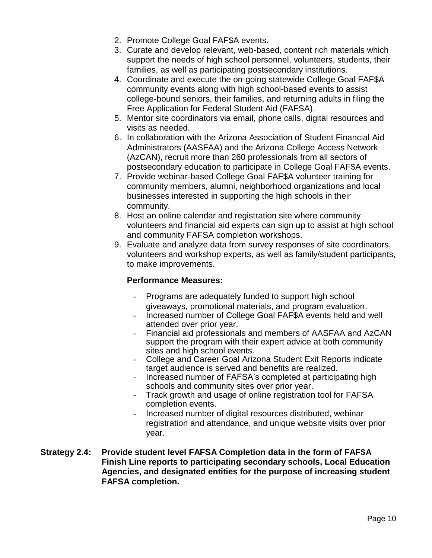- 2. Promote College Goal FAF\$A events.
- 3. Curate and develop relevant, web-based, content rich materials which support the needs of high school personnel, volunteers, students, their families, as well as participating postsecondary institutions.
- 4. Coordinate and execute the on-going statewide College Goal FAF\$A community events along with high school-based events to assist college-bound seniors, their families, and returning adults in filing the Free Application for Federal Student Aid (FAFSA).
- 5. Mentor site coordinators via email, phone calls, digital resources and visits as needed.
- 6. In collaboration with the Arizona Association of Student Financial Aid Administrators (AASFAA) and the Arizona College Access Network (AzCAN), recruit more than 260 professionals from all sectors of postsecondary education to participate in College Goal FAF\$A events.
- 7. Provide webinar-based College Goal FAF\$A volunteer training for community members, alumni, neighborhood organizations and local businesses interested in supporting the high schools in their community.
- 8. Host an online calendar and registration site where community volunteers and financial aid experts can sign up to assist at high school and community FAFSA completion workshops.
- 9. Evaluate and analyze data from survey responses of site coordinators, volunteers and workshop experts, as well as family/student participants, to make improvements.

- Programs are adequately funded to support high school giveaways, promotional materials, and program evaluation.
- Increased number of College Goal FAF\$A events held and well attended over prior year.
- Financial aid professionals and members of AASFAA and AzCAN support the program with their expert advice at both community sites and high school events.
- College and Career Goal Arizona Student Exit Reports indicate target audience is served and benefits are realized.
- Increased number of FAFSA's completed at participating high schools and community sites over prior year.
- Track growth and usage of online registration tool for FAFSA completion events.
- Increased number of digital resources distributed, webinar registration and attendance, and unique website visits over prior year.
- **Strategy 2.4: Provide student level FAFSA Completion data in the form of FAF\$A Finish Line reports to participating secondary schools, Local Education Agencies, and designated entities for the purpose of increasing student FAFSA completion.**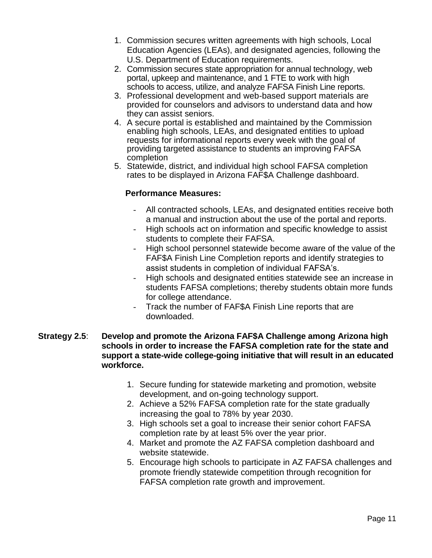- 1. Commission secures written agreements with high schools, Local Education Agencies (LEAs), and designated agencies, following the U.S. Department of Education requirements.
- 2. Commission secures state appropriation for annual technology, web portal, upkeep and maintenance, and 1 FTE to work with high schools to access, utilize, and analyze FAFSA Finish Line reports.
- 3. Professional development and web-based support materials are provided for counselors and advisors to understand data and how they can assist seniors.
- 4. A secure portal is established and maintained by the Commission enabling high schools, LEAs, and designated entities to upload requests for informational reports every week with the goal of providing targeted assistance to students an improving FAFSA completion
- 5. Statewide, district, and individual high school FAFSA completion rates to be displayed in Arizona FAF\$A Challenge dashboard.

- All contracted schools, LEAs, and designated entities receive both a manual and instruction about the use of the portal and reports.
- High schools act on information and specific knowledge to assist students to complete their FAFSA.
- High school personnel statewide become aware of the value of the FAF\$A Finish Line Completion reports and identify strategies to assist students in completion of individual FAFSA's.
- High schools and designated entities statewide see an increase in students FAFSA completions; thereby students obtain more funds for college attendance.
- Track the number of FAF\$A Finish Line reports that are downloaded.
- **Strategy 2.5**: **Develop and promote the Arizona FAF\$A Challenge among Arizona high schools in order to increase the FAFSA completion rate for the state and support a state-wide college-going initiative that will result in an educated workforce.**
	- 1. Secure funding for statewide marketing and promotion, website development, and on-going technology support.
	- 2. Achieve a 52% FAFSA completion rate for the state gradually increasing the goal to 78% by year 2030.
	- 3. High schools set a goal to increase their senior cohort FAFSA completion rate by at least 5% over the year prior.
	- 4. Market and promote the AZ FAFSA completion dashboard and website statewide.
	- 5. Encourage high schools to participate in AZ FAFSA challenges and promote friendly statewide competition through recognition for FAFSA completion rate growth and improvement.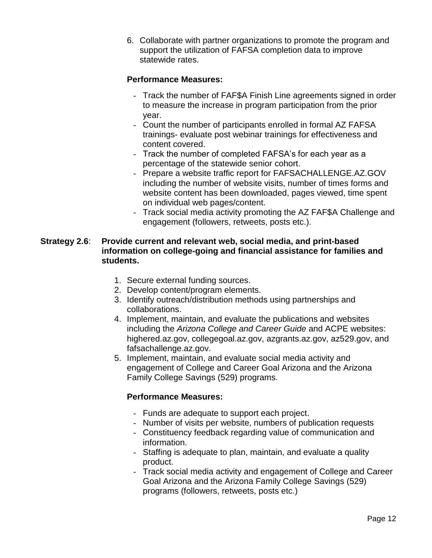6. Collaborate with partner organizations to promote the program and support the utilization of FAFSA completion data to improve statewide rates.

## **Performance Measures:**

- Track the number of FAF\$A Finish Line agreements signed in order to measure the increase in program participation from the prior year.
- Count the number of participants enrolled in formal AZ FAFSA trainings- evaluate post webinar trainings for effectiveness and content covered.
- Track the number of completed FAFSA's for each year as a percentage of the statewide senior cohort.
- Prepare a website traffic report for FAFSACHALLENGE.AZ.GOV including the number of website visits, number of times forms and website content has been downloaded, pages viewed, time spent on individual web pages/content.
- Track social media activity promoting the AZ FAF\$A Challenge and engagement (followers, retweets, posts etc.).

### **Strategy 2.6**: **Provide current and relevant web, social media, and print-based information on college-going and financial assistance for families and students.**

- 1. Secure external funding sources.
- 2. Develop content/program elements.
- 3. Identify outreach/distribution methods using partnerships and collaborations.
- 4. Implement, maintain, and evaluate the publications and websites including the *Arizona College and Career Guide* and ACPE websites: highered.az.gov, collegegoal.az.gov, azgrants.az.gov, az529.gov, and fafsachallenge.az.gov.
- 5. Implement, maintain, and evaluate social media activity and engagement of College and Career Goal Arizona and the Arizona Family College Savings (529) programs.

- Funds are adequate to support each project.
- Number of visits per website, numbers of publication requests
- Constituency feedback regarding value of communication and information.
- Staffing is adequate to plan, maintain, and evaluate a quality product.
- Track social media activity and engagement of College and Career Goal Arizona and the Arizona Family College Savings (529) programs (followers, retweets, posts etc.)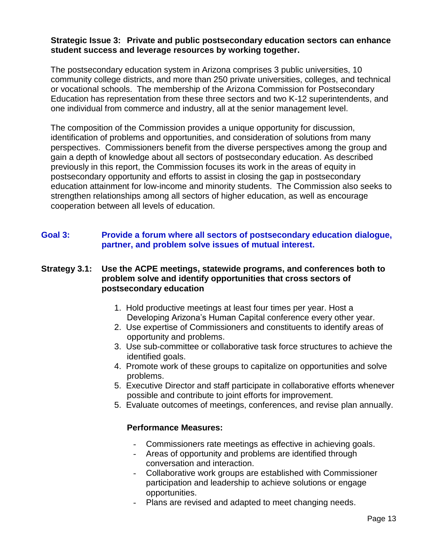### **Strategic Issue 3: Private and public postsecondary education sectors can enhance student success and leverage resources by working together.**

 The postsecondary education system in Arizona comprises 3 public universities, 10 community college districts, and more than 250 private universities, colleges, and technical or vocational schools. The membership of the Arizona Commission for Postsecondary Education has representation from these three sectors and two K-12 superintendents, and one individual from commerce and industry, all at the senior management level.

The composition of the Commission provides a unique opportunity for discussion, identification of problems and opportunities, and consideration of solutions from many perspectives. Commissioners benefit from the diverse perspectives among the group and gain a depth of knowledge about all sectors of postsecondary education. As described previously in this report, the Commission focuses its work in the areas of equity in postsecondary opportunity and efforts to assist in closing the gap in postsecondary education attainment for low-income and minority students. The Commission also seeks to strengthen relationships among all sectors of higher education, as well as encourage cooperation between all levels of education.

### **Goal 3: Provide a forum where all sectors of postsecondary education dialogue, partner, and problem solve issues of mutual interest.**

### **Strategy 3.1: Use the ACPE meetings, statewide programs, and conferences both to problem solve and identify opportunities that cross sectors of postsecondary education**

- 1. Hold productive meetings at least four times per year. Host a Developing Arizona's Human Capital conference every other year.
- 2. Use expertise of Commissioners and constituents to identify areas of opportunity and problems.
- 3. Use sub-committee or collaborative task force structures to achieve the identified goals.
- 4. Promote work of these groups to capitalize on opportunities and solve problems.
- 5. Executive Director and staff participate in collaborative efforts whenever possible and contribute to joint efforts for improvement.
- 5. Evaluate outcomes of meetings, conferences, and revise plan annually.

- Commissioners rate meetings as effective in achieving goals.
- Areas of opportunity and problems are identified through conversation and interaction.
- Collaborative work groups are established with Commissioner participation and leadership to achieve solutions or engage opportunities.
- Plans are revised and adapted to meet changing needs.